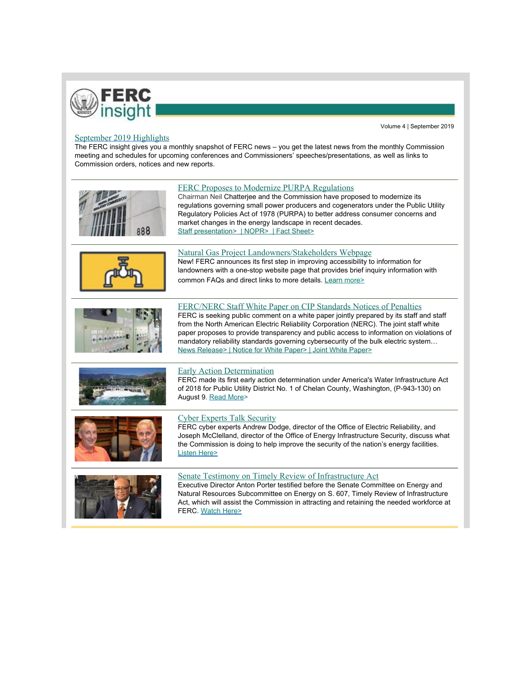

## Volume 4 | September 2019

## September 2019 Highlights

The FERC insight gives you a monthly snapshot of FERC news – you get the latest news from the monthly Commission meeting and schedules for upcoming conferences and Commissioners' speeches/presentations, as well as links to Commission orders, notices and new reports.

| 888 | FERC Proposes to Modernize PURPA Regulations<br>Chairman Neil Chatterjee and the Commission have proposed to modernize its<br>regulations governing small power producers and cogenerators under the Public Utility<br>Regulatory Policies Act of 1978 (PURPA) to better address consumer concerns and<br>market changes in the energy landscape in recent decades.<br>Staff presentation>   NOPR>   Fact Sheet>                                                                                          |
|-----|-----------------------------------------------------------------------------------------------------------------------------------------------------------------------------------------------------------------------------------------------------------------------------------------------------------------------------------------------------------------------------------------------------------------------------------------------------------------------------------------------------------|
|     | Natural Gas Project Landowners/Stakeholders Webpage<br>New! FERC announces its first step in improving accessibility to information for<br>landowners with a one-stop website page that provides brief inquiry information with<br>common FAQs and direct links to more details. Learn more>                                                                                                                                                                                                              |
|     | FERC/NERC Staff White Paper on CIP Standards Notices of Penalties<br>FERC is seeking public comment on a white paper jointly prepared by its staff and staff<br>from the North American Electric Reliability Corporation (NERC). The joint staff white<br>paper proposes to provide transparency and public access to information on violations of<br>mandatory reliability standards governing cybersecurity of the bulk electric system<br>News Release>   Notice for White Paper>   Joint White Paper> |
|     | Early Action Determination<br>FERC made its first early action determination under America's Water Infrastructure Act<br>of 2018 for Public Utility District No. 1 of Chelan County, Washington, (P-943-130) on<br>August 9. Read More>                                                                                                                                                                                                                                                                   |
|     | <b>Cyber Experts Talk Security</b><br>FERC cyber experts Andrew Dodge, director of the Office of Electric Reliability, and<br>Joseph McClelland, director of the Office of Energy Infrastructure Security, discuss what<br>the Commission is doing to help improve the security of the nation's energy facilities.<br><b>Listen Here&gt;</b>                                                                                                                                                              |
|     | Senate Testimony on Timely Review of Infrastructure Act<br>Executive Director Anton Porter testified before the Senate Committee on Energy and<br>Natural Resources Subcommittee on Energy on S. 607, Timely Review of Infrastructure<br>Act, which will assist the Commission in attracting and retaining the needed workforce at<br>FERC. Watch Here>                                                                                                                                                   |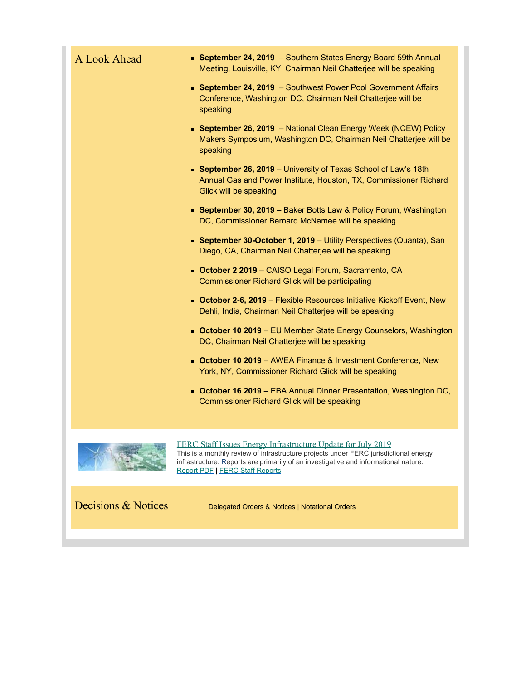| A Look Ahead | • September 24, 2019 - Southern States Energy Board 59th Annual<br>Meeting, Louisville, KY, Chairman Neil Chatterjee will be speaking                                                                                                                                                 |
|--------------|---------------------------------------------------------------------------------------------------------------------------------------------------------------------------------------------------------------------------------------------------------------------------------------|
|              | • September 24, 2019 - Southwest Power Pool Government Affairs<br>Conference, Washington DC, Chairman Neil Chatterjee will be<br>speaking                                                                                                                                             |
|              | • September 26, 2019 - National Clean Energy Week (NCEW) Policy<br>Makers Symposium, Washington DC, Chairman Neil Chatterjee will be<br>speaking                                                                                                                                      |
|              | <b>September 26, 2019</b> - University of Texas School of Law's 18th<br>Annual Gas and Power Institute, Houston, TX, Commissioner Richard<br>Glick will be speaking                                                                                                                   |
|              | • September 30, 2019 - Baker Botts Law & Policy Forum, Washington<br>DC, Commissioner Bernard McNamee will be speaking                                                                                                                                                                |
|              | • September 30-October 1, 2019 - Utility Perspectives (Quanta), San<br>Diego, CA, Chairman Neil Chatterjee will be speaking                                                                                                                                                           |
|              | • October 2 2019 - CAISO Legal Forum, Sacramento, CA<br><b>Commissioner Richard Glick will be participating</b>                                                                                                                                                                       |
|              | • October 2-6, 2019 - Flexible Resources Initiative Kickoff Event, New<br>Dehli, India, Chairman Neil Chatterjee will be speaking                                                                                                                                                     |
|              | <b>October 10 2019</b> - EU Member State Energy Counselors, Washington<br>DC, Chairman Neil Chatterjee will be speaking                                                                                                                                                               |
|              | • October 10 2019 - AWEA Finance & Investment Conference, New<br>York, NY, Commissioner Richard Glick will be speaking                                                                                                                                                                |
|              | • October 16 2019 - EBA Annual Dinner Presentation, Washington DC,<br>Commissioner Richard Glick will be speaking                                                                                                                                                                     |
|              | FERC Staff Issues Energy Infrastructure Update for July 2019<br>This is a monthly review of infrastructure projects under FERC jurisdictional energy<br>infrastructure. Reports are primarily of an investigative and informational nature.<br><b>Report PDF   FERC Staff Reports</b> |

Decisions & Notices [Delegated Orders](https://www.ferc.gov/docs-filing/dec-not.asp) & Notices | [Notational Orders](https://www.ferc.gov/EventCalendar/EventsList.aspx?View=listview&CalendarID=101&IsSearch=false&Date=05/10/2019)